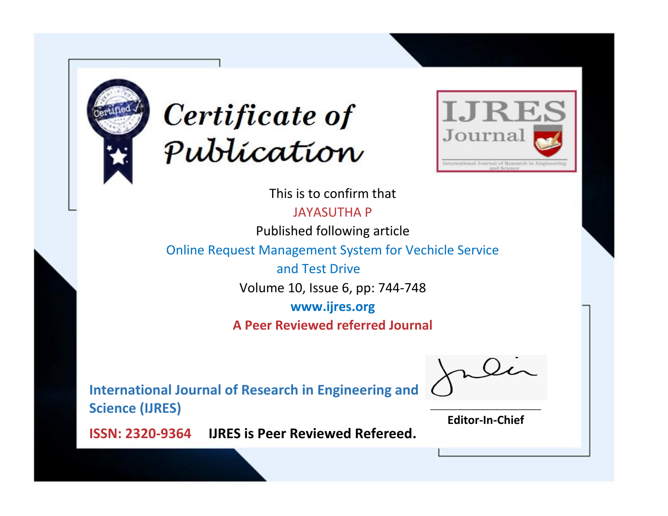



This is to confirm that

JAYASUTHA P

Published following article

Online Request Management System for Vechicle Service

 and Test Drive Volume 10, Issue 6, pp: 744-748

**www.ijres.org**

**A Peer Reviewed referred Journal**

**International Journal of Research in Engineering and Science (IJRES)**

\_\_\_\_\_\_\_\_\_\_\_\_\_\_\_\_\_\_\_\_\_\_\_\_ **Editor-In-Chief**

**Journal.**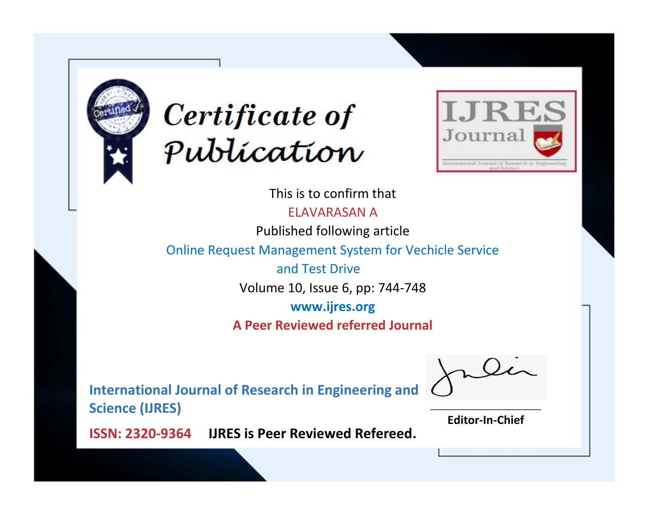



This is to confirm that

ELAVARASAN A

Published following article

Online Request Management System for Vechicle Service

 and Test Drive Volume 10, Issue 6, pp: 744-748

**www.ijres.org**

**A Peer Reviewed referred Journal**

**International Journal of Research in Engineering and Science (IJRES)**

\_\_\_\_\_\_\_\_\_\_\_\_\_\_\_\_\_\_\_\_\_\_\_\_ **Editor-In-Chief**

**Journal.**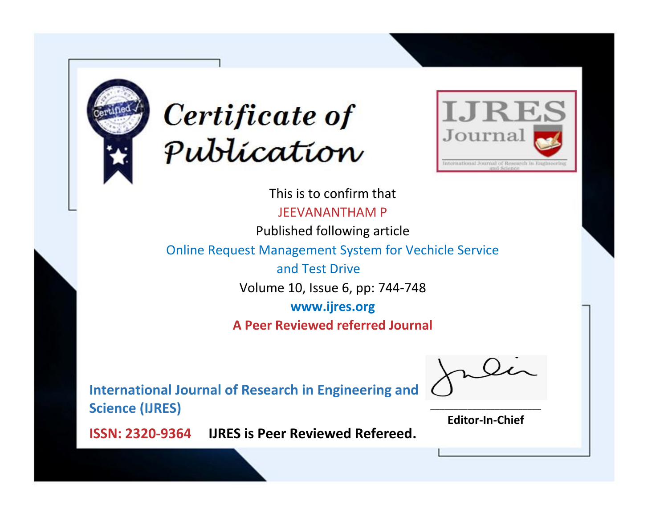



This is to confirm that JEEVANANTHAM P

Published following article

Online Request Management System for Vechicle Service

 and Test Drive Volume 10, Issue 6, pp: 744-748

**www.ijres.org**

**A Peer Reviewed referred Journal**

**International Journal of Research in Engineering and Science (IJRES)**

\_\_\_\_\_\_\_\_\_\_\_\_\_\_\_\_\_\_\_\_\_\_\_\_ **Editor-In-Chief**

**Journal.**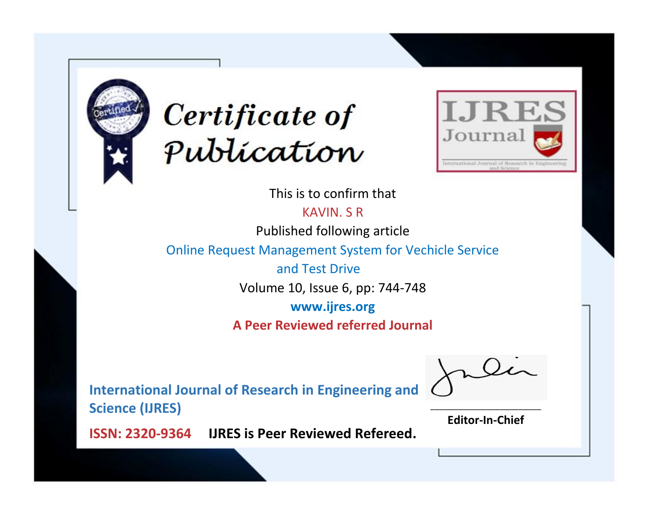



This is to confirm that

KAVIN. S R

Published following article

Online Request Management System for Vechicle Service

 and Test Drive Volume 10, Issue 6, pp: 744-748

**www.ijres.org**

**A Peer Reviewed referred Journal**

**International Journal of Research in Engineering and Science (IJRES)**

\_\_\_\_\_\_\_\_\_\_\_\_\_\_\_\_\_\_\_\_\_\_\_\_ **Editor-In-Chief**

**Journal.**